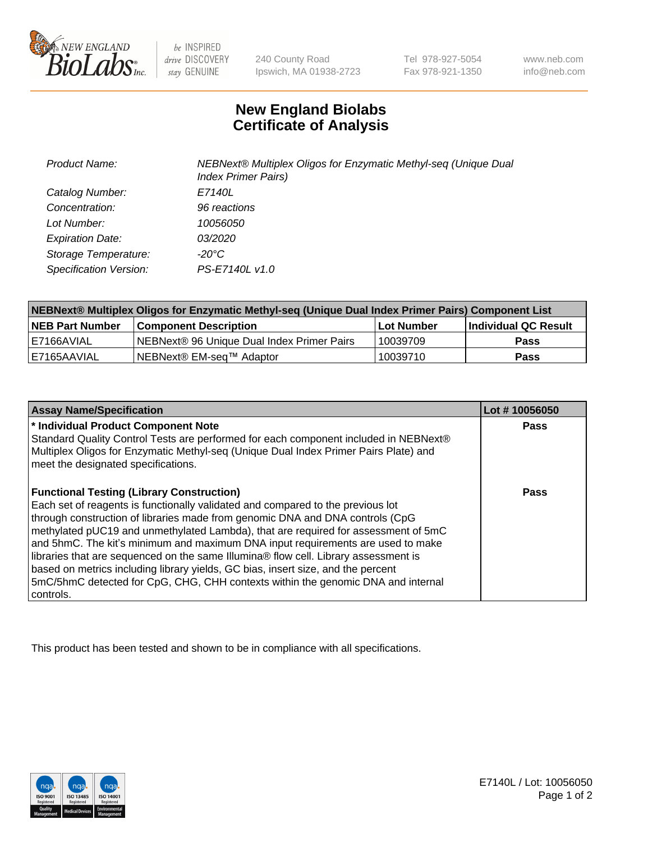

 $be$  INSPIRED drive DISCOVERY stay GENUINE

240 County Road Ipswich, MA 01938-2723 Tel 978-927-5054 Fax 978-921-1350 www.neb.com info@neb.com

## **New England Biolabs Certificate of Analysis**

| <b>Product Name:</b>    | NEBNext® Multiplex Oligos for Enzymatic Methyl-seq (Unique Dual<br><b>Index Primer Pairs)</b> |
|-------------------------|-----------------------------------------------------------------------------------------------|
| Catalog Number:         | E7140L                                                                                        |
| Concentration:          | 96 reactions                                                                                  |
| Lot Number:             | 10056050                                                                                      |
| <b>Expiration Date:</b> | <i>03/2020</i>                                                                                |
| Storage Temperature:    | -20°C                                                                                         |
| Specification Version:  | PS-E7140L v1.0                                                                                |

| NEBNext® Multiplex Oligos for Enzymatic Methyl-seq (Unique Dual Index Primer Pairs) Component List |                                                   |            |                      |  |
|----------------------------------------------------------------------------------------------------|---------------------------------------------------|------------|----------------------|--|
| <b>NEB Part Number</b>                                                                             | <b>Component Description</b>                      | Lot Number | Individual QC Result |  |
| I E7166AVIAL                                                                                       | <b>NEBNext® 96 Unique Dual Index Primer Pairs</b> | 10039709   | <b>Pass</b>          |  |
| I E7165AAVIAL                                                                                      | NEBNext® EM-seq™ Adaptor                          | 10039710   | <b>Pass</b>          |  |

| <b>Assay Name/Specification</b>                                                                                                                                                                                                                                                                                                                                                                                                                                                                                                                                                                                                                                             | Lot #10056050 |
|-----------------------------------------------------------------------------------------------------------------------------------------------------------------------------------------------------------------------------------------------------------------------------------------------------------------------------------------------------------------------------------------------------------------------------------------------------------------------------------------------------------------------------------------------------------------------------------------------------------------------------------------------------------------------------|---------------|
| * Individual Product Component Note<br>Standard Quality Control Tests are performed for each component included in NEBNext®<br>Multiplex Oligos for Enzymatic Methyl-seq (Unique Dual Index Primer Pairs Plate) and<br>meet the designated specifications.                                                                                                                                                                                                                                                                                                                                                                                                                  | Pass          |
| <b>Functional Testing (Library Construction)</b><br>Each set of reagents is functionally validated and compared to the previous lot<br>through construction of libraries made from genomic DNA and DNA controls (CpG<br>methylated pUC19 and unmethylated Lambda), that are required for assessment of 5mC<br>and 5hmC. The kit's minimum and maximum DNA input requirements are used to make<br>libraries that are sequenced on the same Illumina® flow cell. Library assessment is<br>based on metrics including library yields, GC bias, insert size, and the percent<br>5mC/5hmC detected for CpG, CHG, CHH contexts within the genomic DNA and internal<br>l controls. | Pass          |

This product has been tested and shown to be in compliance with all specifications.